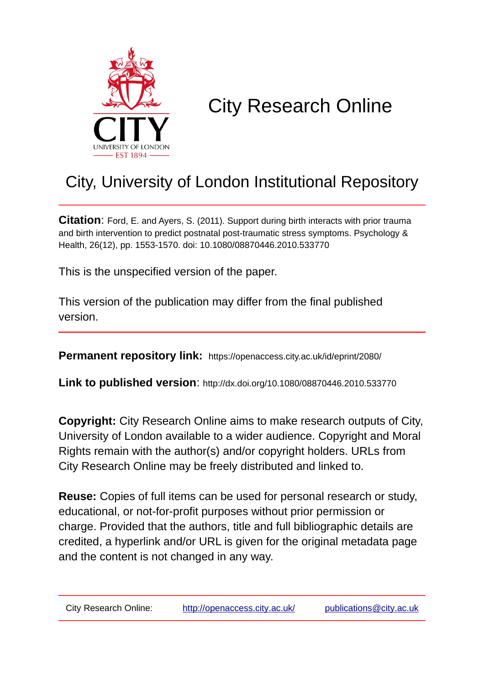

# City Research Online

# City, University of London Institutional Repository

**Citation**: Ford, E. and Ayers, S. (2011). Support during birth interacts with prior trauma and birth intervention to predict postnatal post-traumatic stress symptoms. Psychology & Health, 26(12), pp. 1553-1570. doi: 10.1080/08870446.2010.533770

This is the unspecified version of the paper.

This version of the publication may differ from the final published version.

**Permanent repository link:** https://openaccess.city.ac.uk/id/eprint/2080/

**Link to published version**: http://dx.doi.org/10.1080/08870446.2010.533770

**Copyright:** City Research Online aims to make research outputs of City, University of London available to a wider audience. Copyright and Moral Rights remain with the author(s) and/or copyright holders. URLs from City Research Online may be freely distributed and linked to.

**Reuse:** Copies of full items can be used for personal research or study, educational, or not-for-profit purposes without prior permission or charge. Provided that the authors, title and full bibliographic details are credited, a hyperlink and/or URL is given for the original metadata page and the content is not changed in any way.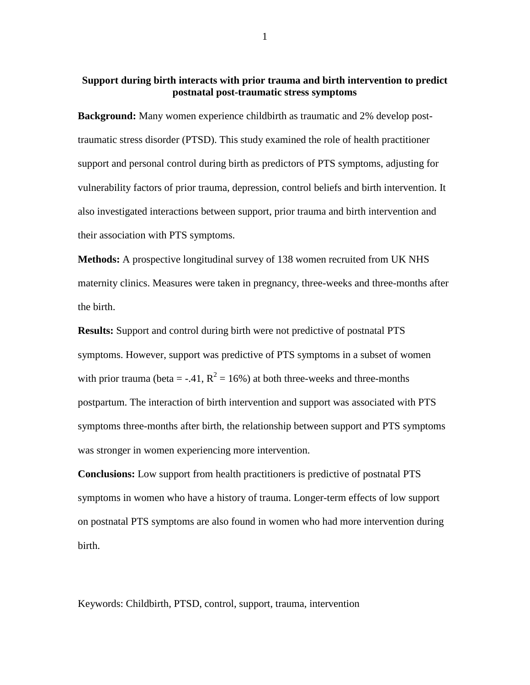# **Support during birth interacts with prior trauma and birth intervention to predict postnatal post-traumatic stress symptoms**

**Background:** Many women experience childbirth as traumatic and 2% develop posttraumatic stress disorder (PTSD). This study examined the role of health practitioner support and personal control during birth as predictors of PTS symptoms, adjusting for vulnerability factors of prior trauma, depression, control beliefs and birth intervention. It also investigated interactions between support, prior trauma and birth intervention and their association with PTS symptoms.

**Methods:** A prospective longitudinal survey of 138 women recruited from UK NHS maternity clinics. Measures were taken in pregnancy, three-weeks and three-months after the birth.

**Results:** Support and control during birth were not predictive of postnatal PTS symptoms. However, support was predictive of PTS symptoms in a subset of women with prior trauma (beta = -.41,  $R^2 = 16\%$ ) at both three-weeks and three-months postpartum. The interaction of birth intervention and support was associated with PTS symptoms three-months after birth, the relationship between support and PTS symptoms was stronger in women experiencing more intervention.

**Conclusions:** Low support from health practitioners is predictive of postnatal PTS symptoms in women who have a history of trauma. Longer-term effects of low support on postnatal PTS symptoms are also found in women who had more intervention during birth.

Keywords: Childbirth, PTSD, control, support, trauma, intervention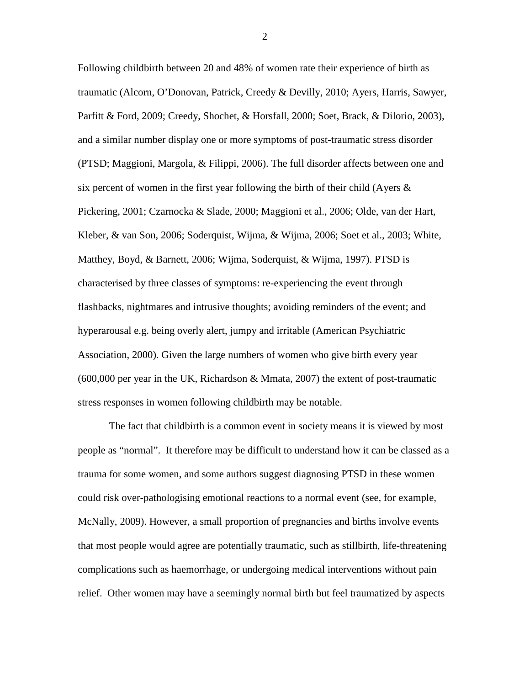Following childbirth between 20 and 48% of women rate their experience of birth as traumatic (Alcorn, O'Donovan, Patrick, Creedy & Devilly, 2010; Ayers, Harris, Sawyer, Parfitt & Ford, 2009; Creedy, Shochet, & Horsfall, 2000; Soet, Brack, & Dilorio, 2003), and a similar number display one or more symptoms of post-traumatic stress disorder (PTSD; Maggioni, Margola, & Filippi, 2006). The full disorder affects between one and six percent of women in the first year following the birth of their child (Ayers  $\&$ Pickering, 2001; Czarnocka & Slade, 2000; Maggioni et al., 2006; Olde, van der Hart, Kleber, & van Son, 2006; Soderquist, Wijma, & Wijma, 2006; Soet et al., 2003; White, Matthey, Boyd, & Barnett, 2006; Wijma, Soderquist, & Wijma, 1997). PTSD is characterised by three classes of symptoms: re-experiencing the event through flashbacks, nightmares and intrusive thoughts; avoiding reminders of the event; and hyperarousal e.g. being overly alert, jumpy and irritable (American Psychiatric Association, 2000). Given the large numbers of women who give birth every year (600,000 per year in the UK, Richardson & Mmata, 2007) the extent of post-traumatic stress responses in women following childbirth may be notable.

The fact that childbirth is a common event in society means it is viewed by most people as "normal". It therefore may be difficult to understand how it can be classed as a trauma for some women, and some authors suggest diagnosing PTSD in these women could risk over-pathologising emotional reactions to a normal event (see, for example, McNally, 2009). However, a small proportion of pregnancies and births involve events that most people would agree are potentially traumatic, such as stillbirth, life-threatening complications such as haemorrhage, or undergoing medical interventions without pain relief. Other women may have a seemingly normal birth but feel traumatized by aspects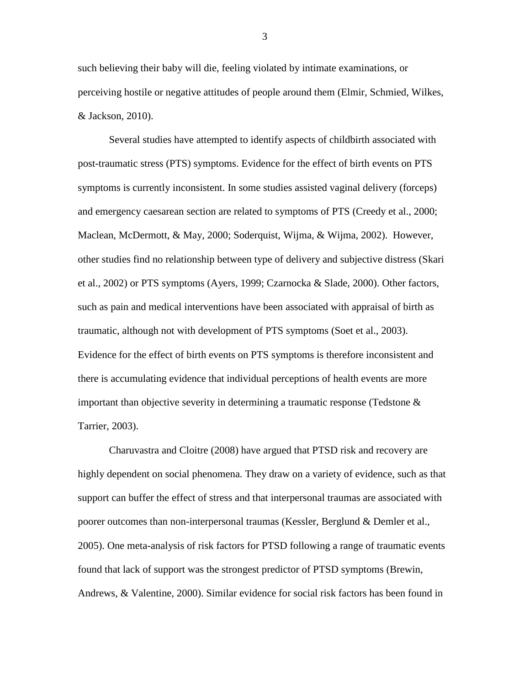such believing their baby will die, feeling violated by intimate examinations, or perceiving hostile or negative attitudes of people around them (Elmir, Schmied, Wilkes, & Jackson, 2010).

Several studies have attempted to identify aspects of childbirth associated with post-traumatic stress (PTS) symptoms. Evidence for the effect of birth events on PTS symptoms is currently inconsistent. In some studies assisted vaginal delivery (forceps) and emergency caesarean section are related to symptoms of PTS (Creedy et al., 2000; Maclean, McDermott, & May, 2000; Soderquist, Wijma, & Wijma, 2002). However, other studies find no relationship between type of delivery and subjective distress (Skari et al., 2002) or PTS symptoms (Ayers, 1999; Czarnocka & Slade, 2000). Other factors, such as pain and medical interventions have been associated with appraisal of birth as traumatic, although not with development of PTS symptoms (Soet et al., 2003). Evidence for the effect of birth events on PTS symptoms is therefore inconsistent and there is accumulating evidence that individual perceptions of health events are more important than objective severity in determining a traumatic response (Tedstone & Tarrier, 2003).

Charuvastra and Cloitre (2008) have argued that PTSD risk and recovery are highly dependent on social phenomena. They draw on a variety of evidence, such as that support can buffer the effect of stress and that interpersonal traumas are associated with poorer outcomes than non-interpersonal traumas (Kessler, Berglund & Demler et al., 2005). One meta-analysis of risk factors for PTSD following a range of traumatic events found that lack of support was the strongest predictor of PTSD symptoms (Brewin, Andrews, & Valentine, 2000). Similar evidence for social risk factors has been found in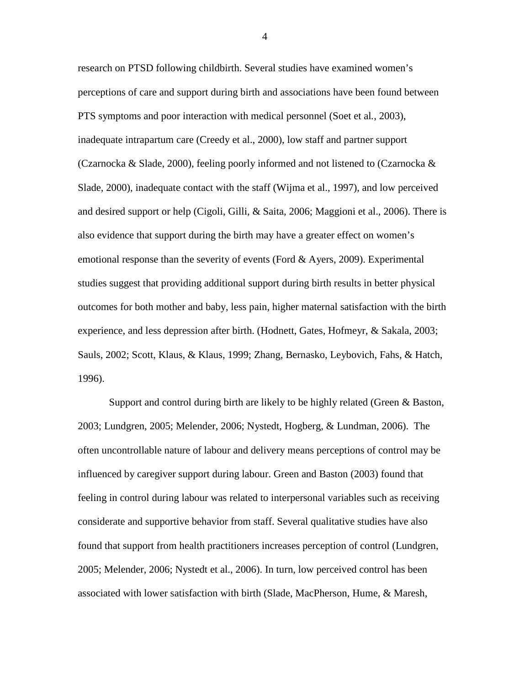research on PTSD following childbirth. Several studies have examined women's perceptions of care and support during birth and associations have been found between PTS symptoms and poor interaction with medical personnel (Soet et al*.*, 2003), inadequate intrapartum care (Creedy et al., 2000), low staff and partner support (Czarnocka & Slade, 2000), feeling poorly informed and not listened to (Czarnocka  $\&$ Slade, 2000), inadequate contact with the staff (Wijma et al., 1997), and low perceived and desired support or help (Cigoli, Gilli, & Saita, 2006; Maggioni et al., 2006). There is also evidence that support during the birth may have a greater effect on women's emotional response than the severity of events (Ford & Ayers, 2009). Experimental studies suggest that providing additional support during birth results in better physical outcomes for both mother and baby, less pain, higher maternal satisfaction with the birth experience, and less depression after birth. (Hodnett, Gates, Hofmeyr, & Sakala, 2003; Sauls, 2002; Scott, Klaus, & Klaus, 1999; Zhang, Bernasko, Leybovich, Fahs, & Hatch, 1996).

Support and control during birth are likely to be highly related (Green & Baston, 2003; Lundgren, 2005; Melender, 2006; Nystedt, Hogberg, & Lundman, 2006). The often uncontrollable nature of labour and delivery means perceptions of control may be influenced by caregiver support during labour. Green and Baston (2003) found that feeling in control during labour was related to interpersonal variables such as receiving considerate and supportive behavior from staff. Several qualitative studies have also found that support from health practitioners increases perception of control (Lundgren, 2005; Melender, 2006; Nystedt et al., 2006). In turn, low perceived control has been associated with lower satisfaction with birth (Slade, MacPherson, Hume, & Maresh,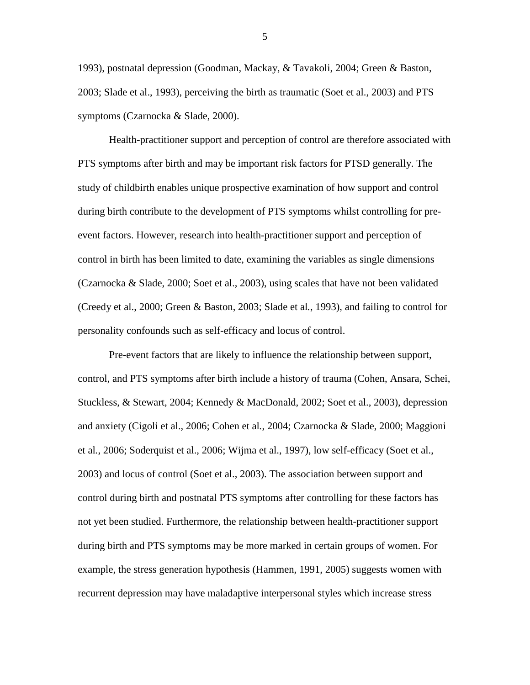1993), postnatal depression (Goodman, Mackay, & Tavakoli, 2004; Green & Baston, 2003; Slade et al., 1993), perceiving the birth as traumatic (Soet et al., 2003) and PTS symptoms (Czarnocka & Slade, 2000).

Health-practitioner support and perception of control are therefore associated with PTS symptoms after birth and may be important risk factors for PTSD generally. The study of childbirth enables unique prospective examination of how support and control during birth contribute to the development of PTS symptoms whilst controlling for preevent factors. However, research into health-practitioner support and perception of control in birth has been limited to date, examining the variables as single dimensions (Czarnocka & Slade, 2000; Soet et al., 2003), using scales that have not been validated (Creedy et al., 2000; Green & Baston, 2003; Slade et al*.*, 1993), and failing to control for personality confounds such as self-efficacy and locus of control.

Pre-event factors that are likely to influence the relationship between support, control, and PTS symptoms after birth include a history of trauma (Cohen, Ansara, Schei, Stuckless, & Stewart, 2004; Kennedy & MacDonald, 2002; Soet et al., 2003), depression and anxiety (Cigoli et al., 2006; Cohen et al*.*, 2004; Czarnocka & Slade, 2000; Maggioni et al*.*, 2006; Soderquist et al., 2006; Wijma et al., 1997), low self-efficacy (Soet et al., 2003) and locus of control (Soet et al., 2003). The association between support and control during birth and postnatal PTS symptoms after controlling for these factors has not yet been studied. Furthermore, the relationship between health-practitioner support during birth and PTS symptoms may be more marked in certain groups of women. For example, the stress generation hypothesis (Hammen, 1991, 2005) suggests women with recurrent depression may have maladaptive interpersonal styles which increase stress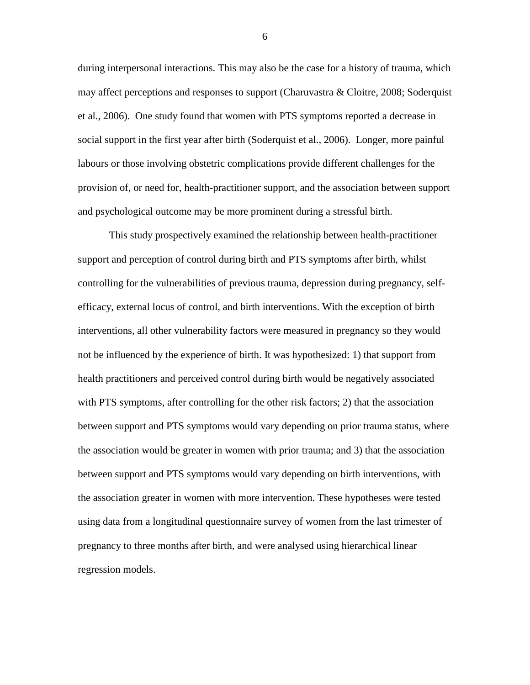during interpersonal interactions. This may also be the case for a history of trauma, which may affect perceptions and responses to support (Charuvastra & Cloitre, 2008; Soderquist et al., 2006). One study found that women with PTS symptoms reported a decrease in social support in the first year after birth (Soderquist et al., 2006). Longer, more painful labours or those involving obstetric complications provide different challenges for the provision of, or need for, health-practitioner support, and the association between support and psychological outcome may be more prominent during a stressful birth.

This study prospectively examined the relationship between health-practitioner support and perception of control during birth and PTS symptoms after birth, whilst controlling for the vulnerabilities of previous trauma, depression during pregnancy, selfefficacy, external locus of control, and birth interventions. With the exception of birth interventions, all other vulnerability factors were measured in pregnancy so they would not be influenced by the experience of birth. It was hypothesized: 1) that support from health practitioners and perceived control during birth would be negatively associated with PTS symptoms, after controlling for the other risk factors; 2) that the association between support and PTS symptoms would vary depending on prior trauma status, where the association would be greater in women with prior trauma; and 3) that the association between support and PTS symptoms would vary depending on birth interventions, with the association greater in women with more intervention. These hypotheses were tested using data from a longitudinal questionnaire survey of women from the last trimester of pregnancy to three months after birth, and were analysed using hierarchical linear regression models.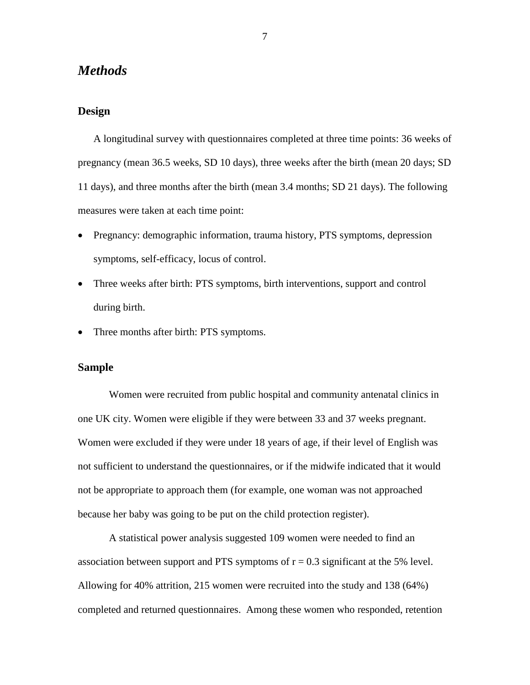# *Methods*

# **Design**

A longitudinal survey with questionnaires completed at three time points: 36 weeks of pregnancy (mean 36.5 weeks, SD 10 days), three weeks after the birth (mean 20 days; SD 11 days), and three months after the birth (mean 3.4 months; SD 21 days). The following measures were taken at each time point:

- Pregnancy: demographic information, trauma history, PTS symptoms, depression symptoms, self-efficacy, locus of control.
- Three weeks after birth: PTS symptoms, birth interventions, support and control during birth.
- Three months after birth: PTS symptoms.

# **Sample**

Women were recruited from public hospital and community antenatal clinics in one UK city. Women were eligible if they were between 33 and 37 weeks pregnant. Women were excluded if they were under 18 years of age, if their level of English was not sufficient to understand the questionnaires, or if the midwife indicated that it would not be appropriate to approach them (for example, one woman was not approached because her baby was going to be put on the child protection register).

A statistical power analysis suggested 109 women were needed to find an association between support and PTS symptoms of  $r = 0.3$  significant at the 5% level. Allowing for 40% attrition, 215 women were recruited into the study and 138 (64%) completed and returned questionnaires. Among these women who responded, retention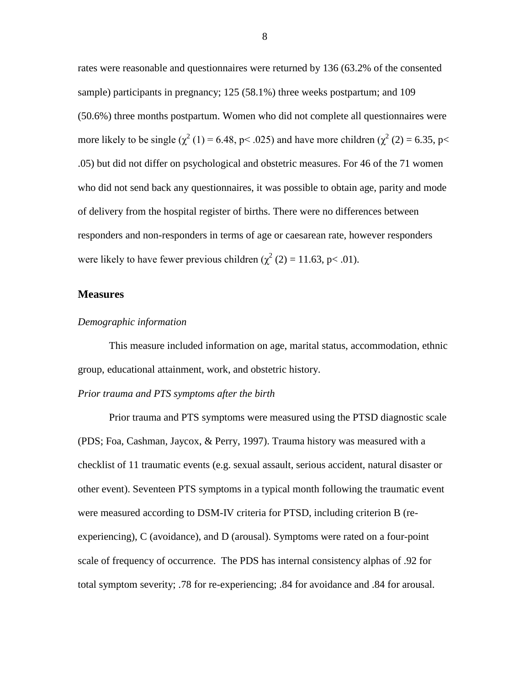rates were reasonable and questionnaires were returned by 136 (63.2% of the consented sample) participants in pregnancy; 125 (58.1%) three weeks postpartum; and 109 (50.6%) three months postpartum. Women who did not complete all questionnaires were more likely to be single ( $\chi^2$  (1) = 6.48, p < .025) and have more children ( $\chi^2$  (2) = 6.35, p < .05) but did not differ on psychological and obstetric measures. For 46 of the 71 women who did not send back any questionnaires, it was possible to obtain age, parity and mode of delivery from the hospital register of births. There were no differences between responders and non-responders in terms of age or caesarean rate, however responders were likely to have fewer previous children ( $\chi^2$  (2) = 11.63, p< .01).

#### **Measures**

#### *Demographic information*

This measure included information on age, marital status, accommodation, ethnic group, educational attainment, work, and obstetric history.

### *Prior trauma and PTS symptoms after the birth*

Prior trauma and PTS symptoms were measured using the PTSD diagnostic scale (PDS; Foa, Cashman, Jaycox, & Perry, 1997). Trauma history was measured with a checklist of 11 traumatic events (e.g. sexual assault, serious accident, natural disaster or other event). Seventeen PTS symptoms in a typical month following the traumatic event were measured according to DSM-IV criteria for PTSD, including criterion B (reexperiencing), C (avoidance), and D (arousal). Symptoms were rated on a four-point scale of frequency of occurrence. The PDS has internal consistency alphas of .92 for total symptom severity; .78 for re-experiencing; .84 for avoidance and .84 for arousal.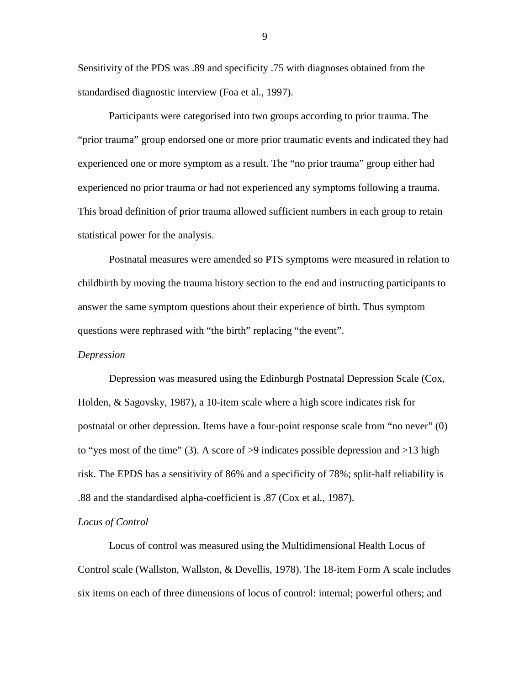Sensitivity of the PDS was .89 and specificity .75 with diagnoses obtained from the standardised diagnostic interview (Foa et al., 1997).

Participants were categorised into two groups according to prior trauma. The "prior trauma" group endorsed one or more prior traumatic events and indicated they had experienced one or more symptom as a result. The "no prior trauma" group either had experienced no prior trauma or had not experienced any symptoms following a trauma. This broad definition of prior trauma allowed sufficient numbers in each group to retain statistical power for the analysis.

Postnatal measures were amended so PTS symptoms were measured in relation to childbirth by moving the trauma history section to the end and instructing participants to answer the same symptom questions about their experience of birth. Thus symptom questions were rephrased with "the birth" replacing "the event".

#### *Depression*

Depression was measured using the Edinburgh Postnatal Depression Scale (Cox, Holden, & Sagovsky, 1987), a 10-item scale where a high score indicates risk for postnatal or other depression. Items have a four-point response scale from "no never" (0) to "yes most of the time" (3). A score of  $>9$  indicates possible depression and  $>13$  high risk. The EPDS has a sensitivity of 86% and a specificity of 78%; split-half reliability is .88 and the standardised alpha-coefficient is .87 (Cox et al*.*, 1987).

# *Locus of Control*

Locus of control was measured using the Multidimensional Health Locus of Control scale (Wallston, Wallston, & Devellis, 1978). The 18-item Form A scale includes six items on each of three dimensions of locus of control: internal; powerful others; and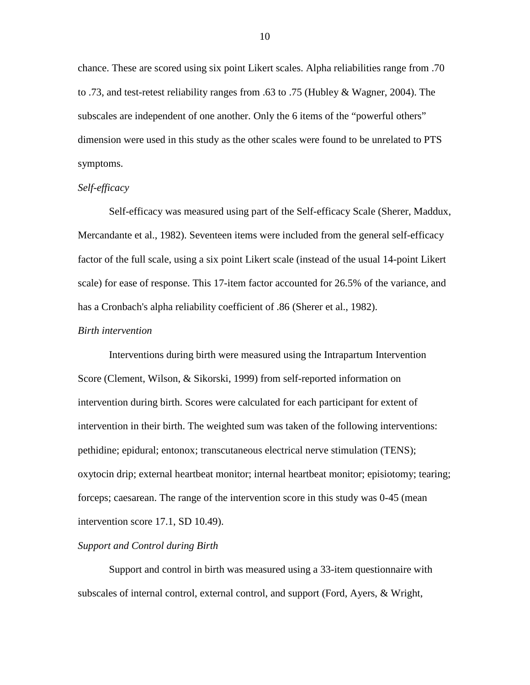chance. These are scored using six point Likert scales. Alpha reliabilities range from .70 to .73, and test-retest reliability ranges from .63 to .75 (Hubley & Wagner, 2004). The subscales are independent of one another. Only the 6 items of the "powerful others" dimension were used in this study as the other scales were found to be unrelated to PTS symptoms.

### *Self-efficacy*

Self-efficacy was measured using part of the Self-efficacy Scale (Sherer, Maddux, Mercandante et al., 1982). Seventeen items were included from the general self-efficacy factor of the full scale, using a six point Likert scale (instead of the usual 14-point Likert scale) for ease of response. This 17-item factor accounted for 26.5% of the variance, and has a Cronbach's alpha reliability coefficient of .86 (Sherer et al., 1982).

#### *Birth intervention*

Interventions during birth were measured using the Intrapartum Intervention Score (Clement, Wilson, & Sikorski, 1999) from self-reported information on intervention during birth. Scores were calculated for each participant for extent of intervention in their birth. The weighted sum was taken of the following interventions: pethidine; epidural; entonox; transcutaneous electrical nerve stimulation (TENS); oxytocin drip; external heartbeat monitor; internal heartbeat monitor; episiotomy; tearing; forceps; caesarean. The range of the intervention score in this study was 0-45 (mean intervention score 17.1, SD 10.49).

#### *Support and Control during Birth*

Support and control in birth was measured using a 33-item questionnaire with subscales of internal control, external control, and support (Ford, Ayers, & Wright,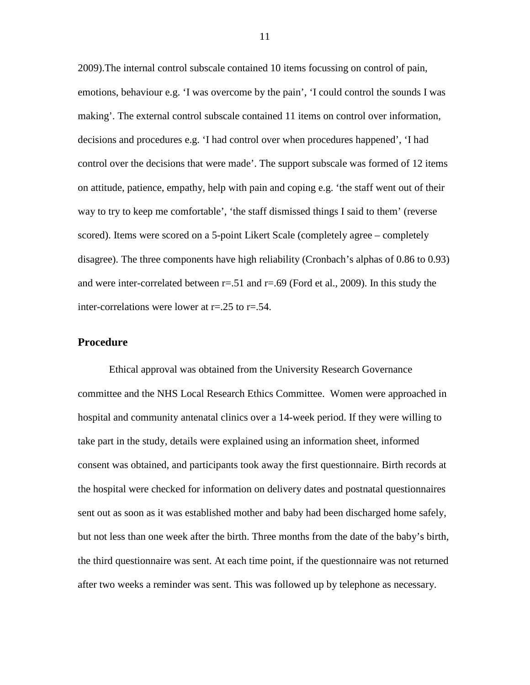2009).The internal control subscale contained 10 items focussing on control of pain, emotions, behaviour e.g. 'I was overcome by the pain', 'I could control the sounds I was making'. The external control subscale contained 11 items on control over information, decisions and procedures e.g. 'I had control over when procedures happened', 'I had control over the decisions that were made'. The support subscale was formed of 12 items on attitude, patience, empathy, help with pain and coping e.g. 'the staff went out of their way to try to keep me comfortable', 'the staff dismissed things I said to them' (reverse scored). Items were scored on a 5-point Likert Scale (completely agree – completely disagree). The three components have high reliability (Cronbach's alphas of 0.86 to 0.93) and were inter-correlated between  $r = .51$  and  $r = .69$  (Ford et al., 2009). In this study the inter-correlations were lower at r=.25 to r=.54.

# **Procedure**

Ethical approval was obtained from the University Research Governance committee and the NHS Local Research Ethics Committee. Women were approached in hospital and community antenatal clinics over a 14-week period. If they were willing to take part in the study, details were explained using an information sheet, informed consent was obtained, and participants took away the first questionnaire. Birth records at the hospital were checked for information on delivery dates and postnatal questionnaires sent out as soon as it was established mother and baby had been discharged home safely, but not less than one week after the birth. Three months from the date of the baby's birth, the third questionnaire was sent. At each time point, if the questionnaire was not returned after two weeks a reminder was sent. This was followed up by telephone as necessary.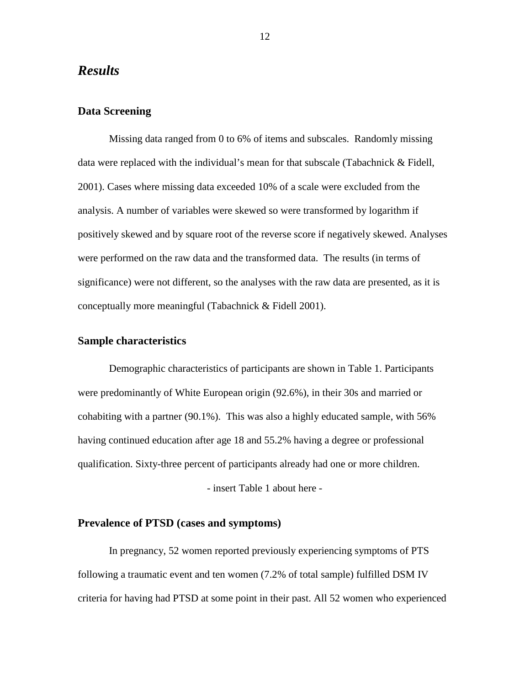# *Results*

# **Data Screening**

Missing data ranged from 0 to 6% of items and subscales. Randomly missing data were replaced with the individual's mean for that subscale (Tabachnick & Fidell, 2001). Cases where missing data exceeded 10% of a scale were excluded from the analysis. A number of variables were skewed so were transformed by logarithm if positively skewed and by square root of the reverse score if negatively skewed. Analyses were performed on the raw data and the transformed data. The results (in terms of significance) were not different, so the analyses with the raw data are presented, as it is conceptually more meaningful (Tabachnick & Fidell 2001).

### **Sample characteristics**

Demographic characteristics of participants are shown in [Table 1.](#page-26-0) Participants were predominantly of White European origin (92.6%), in their 30s and married or cohabiting with a partner (90.1%). This was also a highly educated sample, with 56% having continued education after age 18 and 55.2% having a degree or professional qualification. Sixty-three percent of participants already had one or more children. - insert [Table 1](#page-26-0) about here -

# **Prevalence of PTSD (cases and symptoms)**

In pregnancy, 52 women reported previously experiencing symptoms of PTS following a traumatic event and ten women (7.2% of total sample) fulfilled DSM IV criteria for having had PTSD at some point in their past. All 52 women who experienced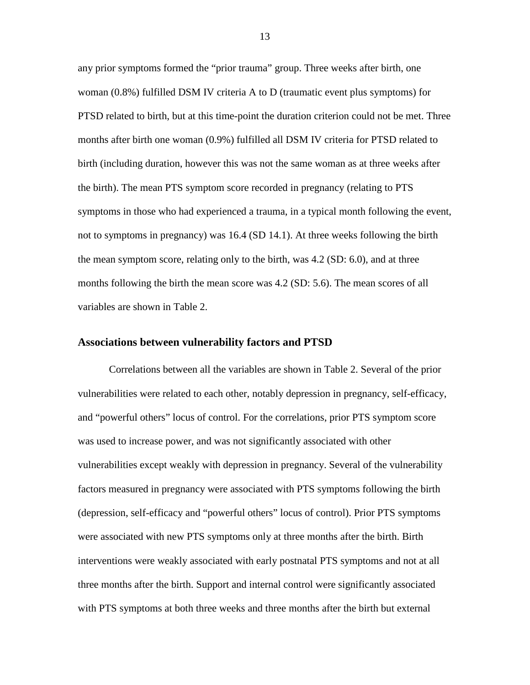any prior symptoms formed the "prior trauma" group. Three weeks after birth, one woman (0.8%) fulfilled DSM IV criteria A to D (traumatic event plus symptoms) for PTSD related to birth, but at this time-point the duration criterion could not be met. Three months after birth one woman (0.9%) fulfilled all DSM IV criteria for PTSD related to birth (including duration, however this was not the same woman as at three weeks after the birth). The mean PTS symptom score recorded in pregnancy (relating to PTS symptoms in those who had experienced a trauma, in a typical month following the event, not to symptoms in pregnancy) was 16.4 (SD 14.1). At three weeks following the birth the mean symptom score, relating only to the birth, was 4.2 (SD: 6.0), and at three months following the birth the mean score was 4.2 (SD: 5.6). The mean scores of all variables are shown in [Table 2.](#page-27-0)

# **Associations between vulnerability factors and PTSD**

Correlations between all the variables are shown in [Table 2.](#page-27-0) Several of the prior vulnerabilities were related to each other, notably depression in pregnancy, self-efficacy, and "powerful others" locus of control. For the correlations, prior PTS symptom score was used to increase power, and was not significantly associated with other vulnerabilities except weakly with depression in pregnancy. Several of the vulnerability factors measured in pregnancy were associated with PTS symptoms following the birth (depression, self-efficacy and "powerful others" locus of control). Prior PTS symptoms were associated with new PTS symptoms only at three months after the birth. Birth interventions were weakly associated with early postnatal PTS symptoms and not at all three months after the birth. Support and internal control were significantly associated with PTS symptoms at both three weeks and three months after the birth but external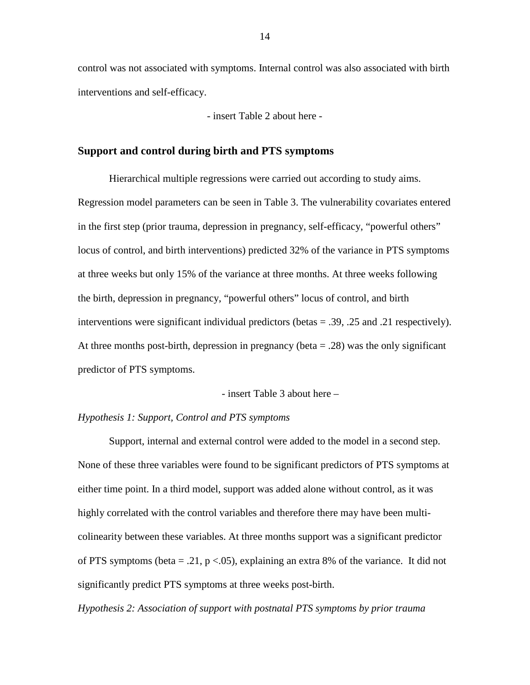control was not associated with symptoms. Internal control was also associated with birth interventions and self-efficacy.

- insert [Table 2](#page-27-0) about here -

# **Support and control during birth and PTS symptoms**

Hierarchical multiple regressions were carried out according to study aims. Regression model parameters can be seen in Table 3. The vulnerability covariates entered in the first step (prior trauma, depression in pregnancy, self-efficacy, "powerful others" locus of control, and birth interventions) predicted 32% of the variance in PTS symptoms at three weeks but only 15% of the variance at three months. At three weeks following the birth, depression in pregnancy, "powerful others" locus of control, and birth interventions were significant individual predictors (betas = .39, .25 and .21 respectively). At three months post-birth, depression in pregnancy (beta  $= .28$ ) was the only significant predictor of PTS symptoms.

- insert [Table 3](#page-28-0) about here –

#### *Hypothesis 1: Support, Control and PTS symptoms*

Support, internal and external control were added to the model in a second step. None of these three variables were found to be significant predictors of PTS symptoms at either time point. In a third model, support was added alone without control, as it was highly correlated with the control variables and therefore there may have been multicolinearity between these variables. At three months support was a significant predictor of PTS symptoms (beta  $= .21$ , p <.05), explaining an extra 8% of the variance. It did not significantly predict PTS symptoms at three weeks post-birth.

*Hypothesis 2: Association of support with postnatal PTS symptoms by prior trauma*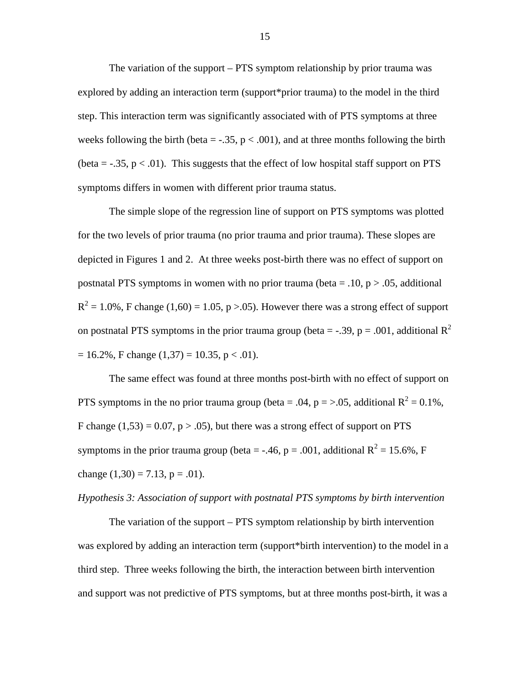The variation of the support – PTS symptom relationship by prior trauma was explored by adding an interaction term (support\*prior trauma) to the model in the third step. This interaction term was significantly associated with of PTS symptoms at three weeks following the birth (beta =  $-.35$ ,  $p < .001$ ), and at three months following the birth (beta =  $-.35$ ,  $p < .01$ ). This suggests that the effect of low hospital staff support on PTS symptoms differs in women with different prior trauma status.

The simple slope of the regression line of support on PTS symptoms was plotted for the two levels of prior trauma (no prior trauma and prior trauma). These slopes are depicted in Figures 1 and 2. At three weeks post-birth there was no effect of support on postnatal PTS symptoms in women with no prior trauma (beta =  $.10, p > .05$ , additional  $R^{2} = 1.0\%$ , F change (1,60) = 1.05, p > 0.05). However there was a strong effect of support on postnatal PTS symptoms in the prior trauma group (beta = -.39, p = .001, additional  $R^2$  $= 16.2\%$ , F change (1,37) = 10.35, p < .01).

The same effect was found at three months post-birth with no effect of support on PTS symptoms in the no prior trauma group (beta = .04,  $p = > .05$ , additional  $R^2 = 0.1\%$ , F change  $(1,53) = 0.07$ , p > .05), but there was a strong effect of support on PTS symptoms in the prior trauma group (beta = -.46, p = .001, additional  $R^2 = 15.6\%$ , F change  $(1,30) = 7.13$ ,  $p = .01$ ).

#### *Hypothesis 3: Association of support with postnatal PTS symptoms by birth intervention*

The variation of the support – PTS symptom relationship by birth intervention was explored by adding an interaction term (support\*birth intervention) to the model in a third step. Three weeks following the birth, the interaction between birth intervention and support was not predictive of PTS symptoms, but at three months post-birth, it was a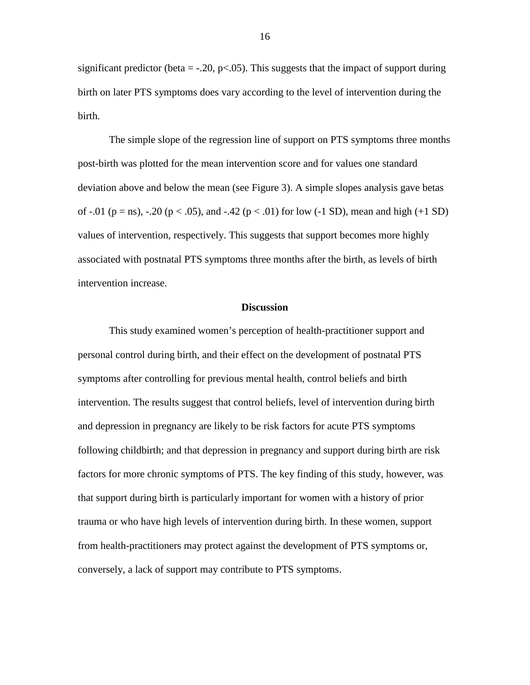significant predictor (beta  $=$  -.20, p<.05). This suggests that the impact of support during birth on later PTS symptoms does vary according to the level of intervention during the birth.

The simple slope of the regression line of support on PTS symptoms three months post-birth was plotted for the mean intervention score and for values one standard deviation above and below the mean (see Figure 3). A simple slopes analysis gave betas of -.01 (p = ns), -.20 (p < .05), and -.42 (p < .01) for low (-1 SD), mean and high (+1 SD) values of intervention, respectively. This suggests that support becomes more highly associated with postnatal PTS symptoms three months after the birth, as levels of birth intervention increase.

#### **Discussion**

This study examined women's perception of health-practitioner support and personal control during birth, and their effect on the development of postnatal PTS symptoms after controlling for previous mental health, control beliefs and birth intervention. The results suggest that control beliefs, level of intervention during birth and depression in pregnancy are likely to be risk factors for acute PTS symptoms following childbirth; and that depression in pregnancy and support during birth are risk factors for more chronic symptoms of PTS. The key finding of this study, however, was that support during birth is particularly important for women with a history of prior trauma or who have high levels of intervention during birth. In these women, support from health-practitioners may protect against the development of PTS symptoms or, conversely, a lack of support may contribute to PTS symptoms.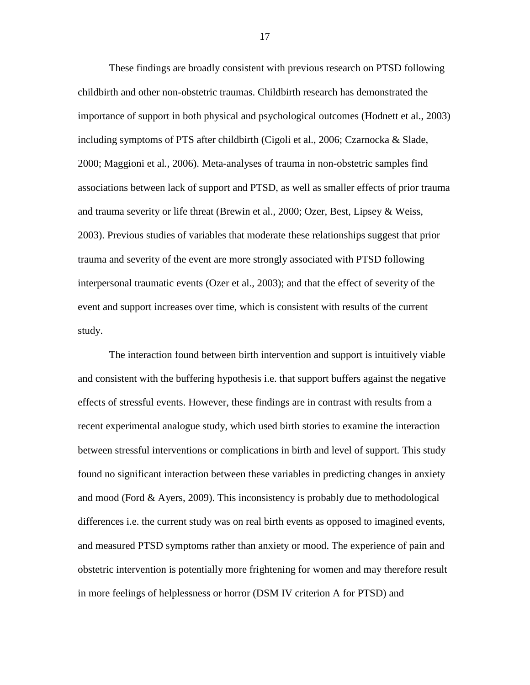These findings are broadly consistent with previous research on PTSD following childbirth and other non-obstetric traumas. Childbirth research has demonstrated the importance of support in both physical and psychological outcomes (Hodnett et al., 2003) including symptoms of PTS after childbirth (Cigoli et al., 2006; Czarnocka & Slade, 2000; Maggioni et al*.*, 2006). Meta-analyses of trauma in non-obstetric samples find associations between lack of support and PTSD, as well as smaller effects of prior trauma and trauma severity or life threat (Brewin et al., 2000; Ozer, Best, Lipsey & Weiss, 2003). Previous studies of variables that moderate these relationships suggest that prior trauma and severity of the event are more strongly associated with PTSD following interpersonal traumatic events (Ozer et al., 2003); and that the effect of severity of the event and support increases over time, which is consistent with results of the current study.

The interaction found between birth intervention and support is intuitively viable and consistent with the buffering hypothesis i.e. that support buffers against the negative effects of stressful events. However, these findings are in contrast with results from a recent experimental analogue study, which used birth stories to examine the interaction between stressful interventions or complications in birth and level of support. This study found no significant interaction between these variables in predicting changes in anxiety and mood (Ford & Ayers, 2009). This inconsistency is probably due to methodological differences i.e. the current study was on real birth events as opposed to imagined events, and measured PTSD symptoms rather than anxiety or mood. The experience of pain and obstetric intervention is potentially more frightening for women and may therefore result in more feelings of helplessness or horror (DSM IV criterion A for PTSD) and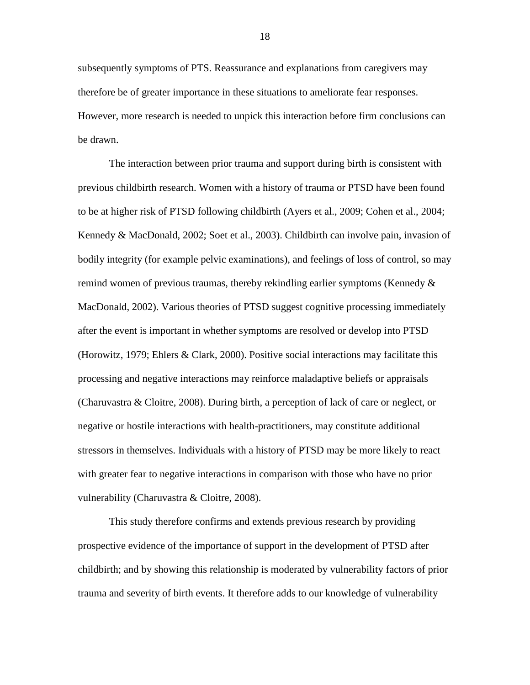subsequently symptoms of PTS. Reassurance and explanations from caregivers may therefore be of greater importance in these situations to ameliorate fear responses. However, more research is needed to unpick this interaction before firm conclusions can be drawn.

The interaction between prior trauma and support during birth is consistent with previous childbirth research. Women with a history of trauma or PTSD have been found to be at higher risk of PTSD following childbirth (Ayers et al., 2009; Cohen et al., 2004; Kennedy & MacDonald, 2002; Soet et al., 2003). Childbirth can involve pain, invasion of bodily integrity (for example pelvic examinations), and feelings of loss of control, so may remind women of previous traumas, thereby rekindling earlier symptoms (Kennedy  $\&$ MacDonald, 2002). Various theories of PTSD suggest cognitive processing immediately after the event is important in whether symptoms are resolved or develop into PTSD (Horowitz, 1979; Ehlers & Clark, 2000). Positive social interactions may facilitate this processing and negative interactions may reinforce maladaptive beliefs or appraisals (Charuvastra & Cloitre, 2008). During birth, a perception of lack of care or neglect, or negative or hostile interactions with health-practitioners, may constitute additional stressors in themselves. Individuals with a history of PTSD may be more likely to react with greater fear to negative interactions in comparison with those who have no prior vulnerability (Charuvastra & Cloitre, 2008).

This study therefore confirms and extends previous research by providing prospective evidence of the importance of support in the development of PTSD after childbirth; and by showing this relationship is moderated by vulnerability factors of prior trauma and severity of birth events. It therefore adds to our knowledge of vulnerability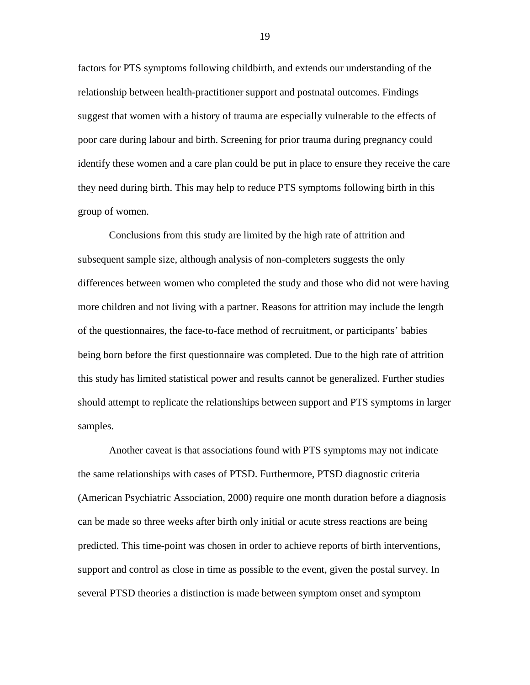factors for PTS symptoms following childbirth, and extends our understanding of the relationship between health-practitioner support and postnatal outcomes. Findings suggest that women with a history of trauma are especially vulnerable to the effects of poor care during labour and birth. Screening for prior trauma during pregnancy could identify these women and a care plan could be put in place to ensure they receive the care they need during birth. This may help to reduce PTS symptoms following birth in this group of women.

Conclusions from this study are limited by the high rate of attrition and subsequent sample size, although analysis of non-completers suggests the only differences between women who completed the study and those who did not were having more children and not living with a partner. Reasons for attrition may include the length of the questionnaires, the face-to-face method of recruitment, or participants' babies being born before the first questionnaire was completed. Due to the high rate of attrition this study has limited statistical power and results cannot be generalized. Further studies should attempt to replicate the relationships between support and PTS symptoms in larger samples.

Another caveat is that associations found with PTS symptoms may not indicate the same relationships with cases of PTSD. Furthermore, PTSD diagnostic criteria (American Psychiatric Association, 2000) require one month duration before a diagnosis can be made so three weeks after birth only initial or acute stress reactions are being predicted. This time-point was chosen in order to achieve reports of birth interventions, support and control as close in time as possible to the event, given the postal survey. In several PTSD theories a distinction is made between symptom onset and symptom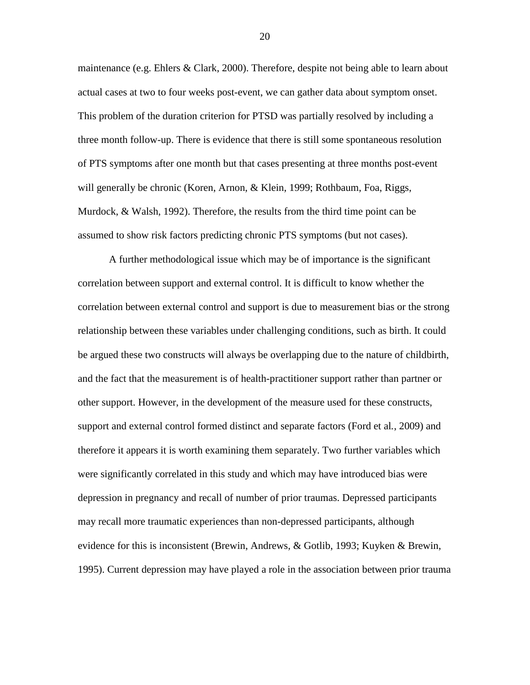maintenance (e.g. Ehlers & Clark, 2000). Therefore, despite not being able to learn about actual cases at two to four weeks post-event, we can gather data about symptom onset. This problem of the duration criterion for PTSD was partially resolved by including a three month follow-up. There is evidence that there is still some spontaneous resolution of PTS symptoms after one month but that cases presenting at three months post-event will generally be chronic (Koren, Arnon, & Klein, 1999; Rothbaum, Foa, Riggs, Murdock, & Walsh, 1992). Therefore, the results from the third time point can be assumed to show risk factors predicting chronic PTS symptoms (but not cases).

A further methodological issue which may be of importance is the significant correlation between support and external control. It is difficult to know whether the correlation between external control and support is due to measurement bias or the strong relationship between these variables under challenging conditions, such as birth. It could be argued these two constructs will always be overlapping due to the nature of childbirth, and the fact that the measurement is of health-practitioner support rather than partner or other support. However, in the development of the measure used for these constructs, support and external control formed distinct and separate factors (Ford et al*.*, 2009) and therefore it appears it is worth examining them separately. Two further variables which were significantly correlated in this study and which may have introduced bias were depression in pregnancy and recall of number of prior traumas. Depressed participants may recall more traumatic experiences than non-depressed participants, although evidence for this is inconsistent (Brewin, Andrews, & Gotlib, 1993; Kuyken & Brewin, 1995). Current depression may have played a role in the association between prior trauma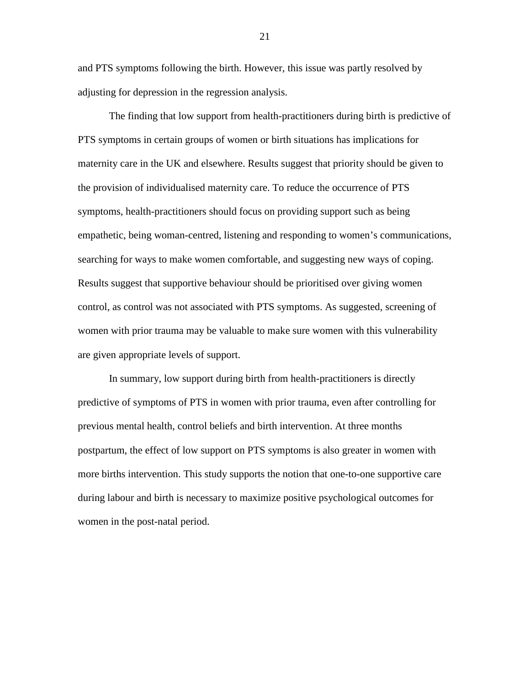and PTS symptoms following the birth. However, this issue was partly resolved by adjusting for depression in the regression analysis.

The finding that low support from health-practitioners during birth is predictive of PTS symptoms in certain groups of women or birth situations has implications for maternity care in the UK and elsewhere. Results suggest that priority should be given to the provision of individualised maternity care. To reduce the occurrence of PTS symptoms, health-practitioners should focus on providing support such as being empathetic, being woman-centred, listening and responding to women's communications, searching for ways to make women comfortable, and suggesting new ways of coping. Results suggest that supportive behaviour should be prioritised over giving women control, as control was not associated with PTS symptoms. As suggested, screening of women with prior trauma may be valuable to make sure women with this vulnerability are given appropriate levels of support.

In summary, low support during birth from health-practitioners is directly predictive of symptoms of PTS in women with prior trauma, even after controlling for previous mental health, control beliefs and birth intervention. At three months postpartum, the effect of low support on PTS symptoms is also greater in women with more births intervention. This study supports the notion that one-to-one supportive care during labour and birth is necessary to maximize positive psychological outcomes for women in the post-natal period.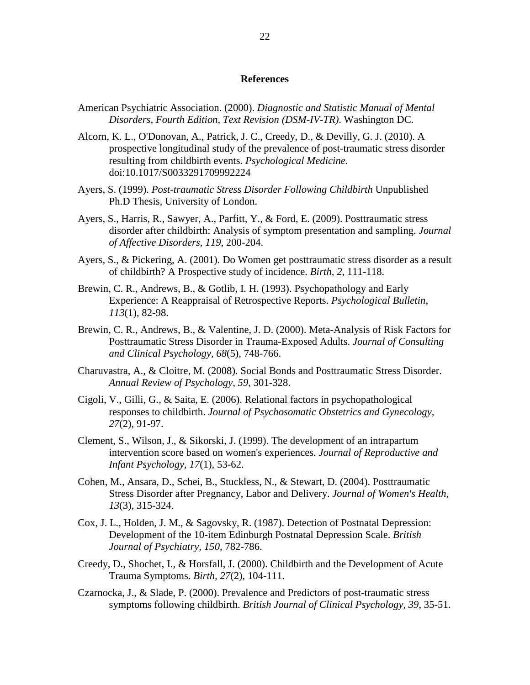#### **References**

- American Psychiatric Association. (2000). *Diagnostic and Statistic Manual of Mental Disorders, Fourth Edition, Text Revision (DSM-IV-TR)*. Washington DC.
- Alcorn, K. L., O'Donovan, A., Patrick, J. C., Creedy, D., & Devilly, G. J. (2010). A prospective longitudinal study of the prevalence of post-traumatic stress disorder resulting from childbirth events. *Psychological Medicine*. doi:10.1017/S0033291709992224
- Ayers, S. (1999). *Post-traumatic Stress Disorder Following Childbirth* Unpublished Ph.D Thesis, University of London.
- Ayers, S., Harris, R., Sawyer, A., Parfitt, Y., & Ford, E. (2009). Posttraumatic stress disorder after childbirth: Analysis of symptom presentation and sampling. *Journal of Affective Disorders, 119*, 200-204.
- Ayers, S., & Pickering, A. (2001). Do Women get posttraumatic stress disorder as a result of childbirth? A Prospective study of incidence. *Birth, 2*, 111-118.
- Brewin, C. R., Andrews, B., & Gotlib, I. H. (1993). Psychopathology and Early Experience: A Reappraisal of Retrospective Reports. *Psychological Bulletin, 113*(1), 82-98.
- Brewin, C. R., Andrews, B., & Valentine, J. D. (2000). Meta-Analysis of Risk Factors for Posttraumatic Stress Disorder in Trauma-Exposed Adults. *Journal of Consulting and Clinical Psychology, 68*(5), 748-766.
- Charuvastra, A., & Cloitre, M. (2008). Social Bonds and Posttraumatic Stress Disorder. *Annual Review of Psychology, 59*, 301-328.
- Cigoli, V., Gilli, G., & Saita, E. (2006). Relational factors in psychopathological responses to childbirth. *Journal of Psychosomatic Obstetrics and Gynecology, 27*(2), 91-97.
- Clement, S., Wilson, J., & Sikorski, J. (1999). The development of an intrapartum intervention score based on women's experiences. *Journal of Reproductive and Infant Psychology, 17*(1), 53-62.
- Cohen, M., Ansara, D., Schei, B., Stuckless, N., & Stewart, D. (2004). Posttraumatic Stress Disorder after Pregnancy, Labor and Delivery. *Journal of Women's Health, 13*(3), 315-324.
- Cox, J. L., Holden, J. M., & Sagovsky, R. (1987). Detection of Postnatal Depression: Development of the 10-item Edinburgh Postnatal Depression Scale. *British Journal of Psychiatry, 150*, 782-786.
- Creedy, D., Shochet, I., & Horsfall, J. (2000). Childbirth and the Development of Acute Trauma Symptoms. *Birth, 27*(2), 104-111.
- Czarnocka, J., & Slade, P. (2000). Prevalence and Predictors of post-traumatic stress symptoms following childbirth. *British Journal of Clinical Psychology, 39*, 35-51.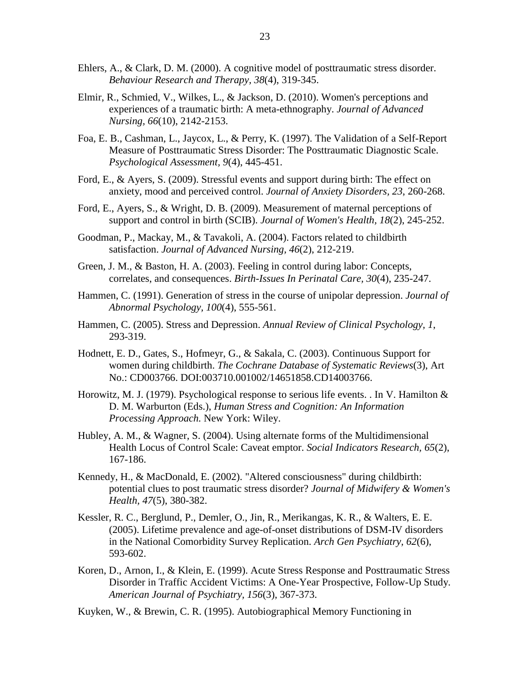- Ehlers, A., & Clark, D. M. (2000). A cognitive model of posttraumatic stress disorder. *Behaviour Research and Therapy, 38*(4), 319-345.
- Elmir, R., Schmied, V., Wilkes, L., & Jackson, D. (2010). Women's perceptions and experiences of a traumatic birth: A meta-ethnography. *Journal of Advanced Nursing, 66*(10), 2142-2153.
- Foa, E. B., Cashman, L., Jaycox, L., & Perry, K. (1997). The Validation of a Self-Report Measure of Posttraumatic Stress Disorder: The Posttraumatic Diagnostic Scale. *Psychological Assessment, 9*(4), 445-451.
- Ford, E., & Ayers, S. (2009). Stressful events and support during birth: The effect on anxiety, mood and perceived control. *Journal of Anxiety Disorders, 23*, 260-268.
- Ford, E., Ayers, S., & Wright, D. B. (2009). Measurement of maternal perceptions of support and control in birth (SCIB). *Journal of Women's Health, 18*(2), 245-252.
- Goodman, P., Mackay, M., & Tavakoli, A. (2004). Factors related to childbirth satisfaction. *Journal of Advanced Nursing, 46*(2), 212-219.
- Green, J. M., & Baston, H. A. (2003). Feeling in control during labor: Concepts, correlates, and consequences. *Birth-Issues In Perinatal Care, 30*(4), 235-247.
- Hammen, C. (1991). Generation of stress in the course of unipolar depression. *Journal of Abnormal Psychology, 100*(4), 555-561.
- Hammen, C. (2005). Stress and Depression. *Annual Review of Clinical Psychology, 1*, 293-319.
- Hodnett, E. D., Gates, S., Hofmeyr, G., & Sakala, C. (2003). Continuous Support for women during childbirth. *The Cochrane Database of Systematic Reviews*(3), Art No.: CD003766. DOI:003710.001002/14651858.CD14003766.
- Horowitz, M. J. (1979). Psychological response to serious life events. . In V. Hamilton & D. M. Warburton (Eds.), *Human Stress and Cognition: An Information Processing Approach.* New York: Wiley.
- Hubley, A. M., & Wagner, S. (2004). Using alternate forms of the Multidimensional Health Locus of Control Scale: Caveat emptor. *Social Indicators Research, 65*(2), 167-186.
- Kennedy, H., & MacDonald, E. (2002). "Altered consciousness" during childbirth: potential clues to post traumatic stress disorder? *Journal of Midwifery & Women's Health, 47*(5), 380-382.
- Kessler, R. C., Berglund, P., Demler, O., Jin, R., Merikangas, K. R., & Walters, E. E. (2005). Lifetime prevalence and age-of-onset distributions of DSM-IV disorders in the National Comorbidity Survey Replication. *Arch Gen Psychiatry, 62*(6), 593-602.
- Koren, D., Arnon, I., & Klein, E. (1999). Acute Stress Response and Posttraumatic Stress Disorder in Traffic Accident Victims: A One-Year Prospective, Follow-Up Study. *American Journal of Psychiatry, 156*(3), 367-373.
- Kuyken, W., & Brewin, C. R. (1995). Autobiographical Memory Functioning in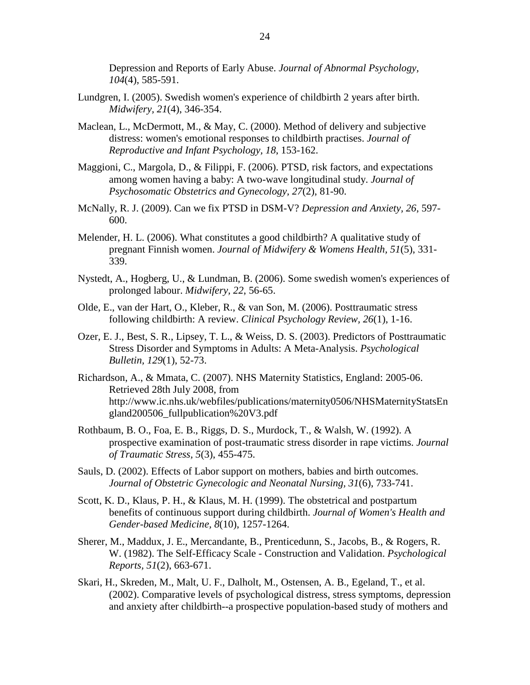Depression and Reports of Early Abuse. *Journal of Abnormal Psychology, 104*(4), 585-591.

- Lundgren, I. (2005). Swedish women's experience of childbirth 2 years after birth. *Midwifery, 21*(4), 346-354.
- Maclean, L., McDermott, M., & May, C. (2000). Method of delivery and subjective distress: women's emotional responses to childbirth practises. *Journal of Reproductive and Infant Psychology, 18*, 153-162.
- Maggioni, C., Margola, D., & Filippi, F. (2006). PTSD, risk factors, and expectations among women having a baby: A two-wave longitudinal study. *Journal of Psychosomatic Obstetrics and Gynecology, 27*(2), 81-90.
- McNally, R. J. (2009). Can we fix PTSD in DSM-V? *Depression and Anxiety, 26*, 597- 600.
- Melender, H. L. (2006). What constitutes a good childbirth? A qualitative study of pregnant Finnish women. *Journal of Midwifery & Womens Health, 51*(5), 331- 339.
- Nystedt, A., Hogberg, U., & Lundman, B. (2006). Some swedish women's experiences of prolonged labour. *Midwifery, 22*, 56-65.
- Olde, E., van der Hart, O., Kleber, R., & van Son, M. (2006). Posttraumatic stress following childbirth: A review. *Clinical Psychology Review, 26*(1), 1-16.
- Ozer, E. J., Best, S. R., Lipsey, T. L., & Weiss, D. S. (2003). Predictors of Posttraumatic Stress Disorder and Symptoms in Adults: A Meta-Analysis. *Psychological Bulletin, 129*(1), 52-73.
- Richardson, A., & Mmata, C. (2007). NHS Maternity Statistics, England: 2005-06. Retrieved 28th July 2008, from http://www.ic.nhs.uk/webfiles/publications/maternity0506/NHSMaternityStatsEn gland200506\_fullpublication%20V3.pdf
- Rothbaum, B. O., Foa, E. B., Riggs, D. S., Murdock, T., & Walsh, W. (1992). A prospective examination of post-traumatic stress disorder in rape victims. *Journal of Traumatic Stress, 5*(3), 455-475.
- Sauls, D. (2002). Effects of Labor support on mothers, babies and birth outcomes. *Journal of Obstetric Gynecologic and Neonatal Nursing, 31*(6), 733-741.
- Scott, K. D., Klaus, P. H., & Klaus, M. H. (1999). The obstetrical and postpartum benefits of continuous support during childbirth. *Journal of Women's Health and Gender-based Medicine, 8*(10), 1257-1264.
- Sherer, M., Maddux, J. E., Mercandante, B., Prenticedunn, S., Jacobs, B., & Rogers, R. W. (1982). The Self-Efficacy Scale - Construction and Validation. *Psychological Reports, 51*(2), 663-671.
- Skari, H., Skreden, M., Malt, U. F., Dalholt, M., Ostensen, A. B., Egeland, T., et al. (2002). Comparative levels of psychological distress, stress symptoms, depression and anxiety after childbirth--a prospective population-based study of mothers and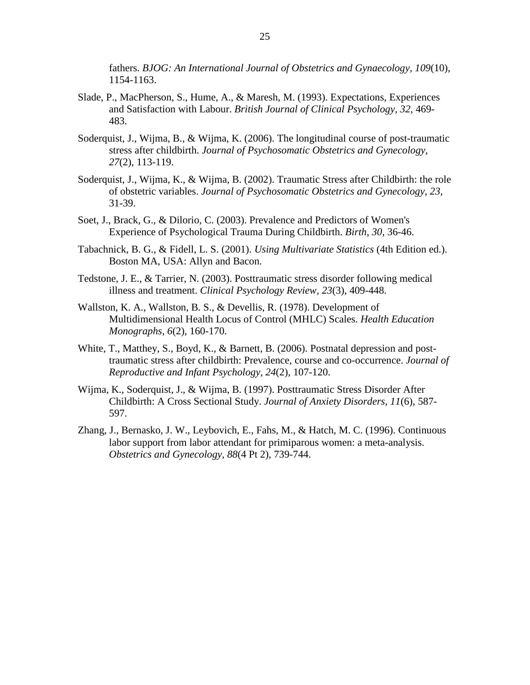fathers. *BJOG: An International Journal of Obstetrics and Gynaecology, 109*(10), 1154-1163.

- Slade, P., MacPherson, S., Hume, A., & Maresh, M. (1993). Expectations, Experiences and Satisfaction with Labour. *British Journal of Clinical Psychology, 32*, 469- 483.
- Soderquist, J., Wijma, B., & Wijma, K. (2006). The longitudinal course of post-traumatic stress after childbirth. *Journal of Psychosomatic Obstetrics and Gynecology, 27*(2), 113-119.
- Soderquist, J., Wijma, K., & Wijma, B. (2002). Traumatic Stress after Childbirth: the role of obstetric variables. *Journal of Psychosomatic Obstetrics and Gynecology, 23*, 31-39.
- Soet, J., Brack, G., & Dilorio, C. (2003). Prevalence and Predictors of Women's Experience of Psychological Trauma During Childbirth. *Birth, 30*, 36-46.
- Tabachnick, B. G., & Fidell, L. S. (2001). *Using Multivariate Statistics* (4th Edition ed.). Boston MA, USA: Allyn and Bacon.
- Tedstone, J. E., & Tarrier, N. (2003). Posttraumatic stress disorder following medical illness and treatment. *Clinical Psychology Review, 23*(3), 409-448.
- Wallston, K. A., Wallston, B. S., & Devellis, R. (1978). Development of Multidimensional Health Locus of Control (MHLC) Scales. *Health Education Monographs, 6*(2), 160-170.
- White, T., Matthey, S., Boyd, K., & Barnett, B. (2006). Postnatal depression and posttraumatic stress after childbirth: Prevalence, course and co-occurrence. *Journal of Reproductive and Infant Psychology, 24*(2), 107-120.
- Wijma, K., Soderquist, J., & Wijma, B. (1997). Posttraumatic Stress Disorder After Childbirth: A Cross Sectional Study. *Journal of Anxiety Disorders, 11*(6), 587- 597.
- Zhang, J., Bernasko, J. W., Leybovich, E., Fahs, M., & Hatch, M. C. (1996). Continuous labor support from labor attendant for primiparous women: a meta-analysis. *Obstetrics and Gynecology, 88*(4 Pt 2), 739-744.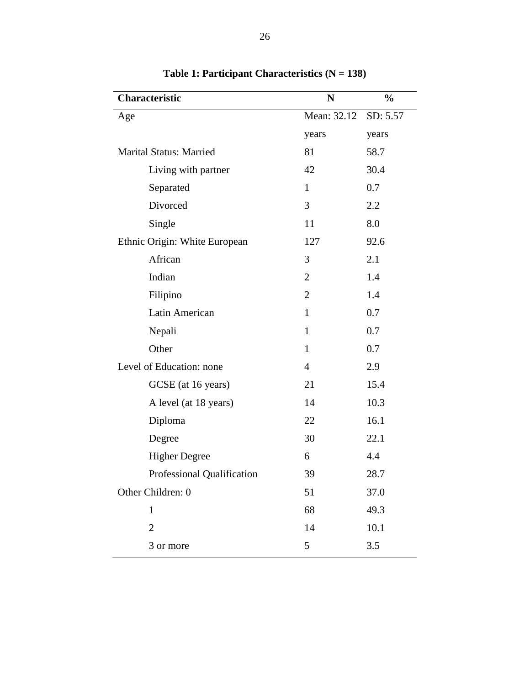<span id="page-26-0"></span>

| Characteristic                 | N              | $\frac{0}{0}$ |  |
|--------------------------------|----------------|---------------|--|
| Age                            | Mean: 32.12    | SD: 5.57      |  |
|                                | years          | years         |  |
| <b>Marital Status: Married</b> | 81             | 58.7          |  |
| Living with partner            | 42             | 30.4          |  |
| Separated                      | $\mathbf{1}$   | 0.7           |  |
| Divorced                       | 3              | 2.2           |  |
| Single                         | 11             | 8.0           |  |
| Ethnic Origin: White European  | 127            | 92.6          |  |
| African                        | 3              | 2.1           |  |
| Indian                         | $\overline{2}$ | 1.4           |  |
| Filipino                       | $\overline{2}$ | 1.4           |  |
| Latin American                 | $\mathbf{1}$   | 0.7           |  |
| Nepali                         | $\mathbf{1}$   | 0.7           |  |
| Other                          | $\mathbf{1}$   | 0.7           |  |
| Level of Education: none       | $\overline{4}$ | 2.9           |  |
| GCSE (at 16 years)             | 21             | 15.4          |  |
| A level (at 18 years)          | 14             | 10.3          |  |
| Diploma                        | 22             | 16.1          |  |
| Degree                         | 30             | 22.1          |  |
| <b>Higher Degree</b>           | 6              | 4.4           |  |
| Professional Qualification     | 39             | 28.7          |  |
| Other Children: 0              | 51             | 37.0          |  |
| $\mathbf{1}$                   | 68             | 49.3          |  |
| $\overline{2}$                 | 14             | 10.1          |  |
| 3 or more                      | 5              | 3.5           |  |

**Table 1: Participant Characteristics (N = 138)**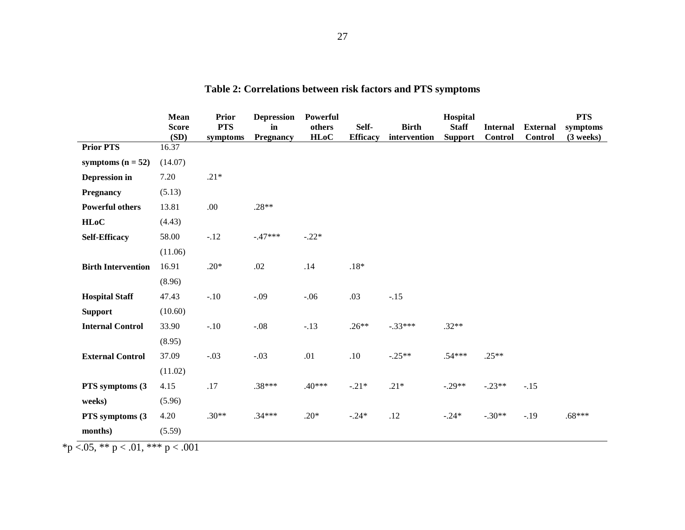<span id="page-27-0"></span>

|                           | <b>Mean</b><br><b>Score</b><br>(SD) | Prior<br><b>PTS</b><br>symptoms | <b>Depression</b><br>in<br>Pregnancy | Powerful<br>others<br><b>HLoC</b> | Self-<br><b>Efficacy</b> | <b>Birth</b><br>intervention | Hospital<br><b>Staff</b><br><b>Support</b> | <b>Internal</b><br><b>Control</b> | <b>External</b><br><b>Control</b> | <b>PTS</b><br>symptoms<br>$(3$ weeks) |
|---------------------------|-------------------------------------|---------------------------------|--------------------------------------|-----------------------------------|--------------------------|------------------------------|--------------------------------------------|-----------------------------------|-----------------------------------|---------------------------------------|
| <b>Prior PTS</b>          | 16.37                               |                                 |                                      |                                   |                          |                              |                                            |                                   |                                   |                                       |
| symptoms $(n = 52)$       | (14.07)                             |                                 |                                      |                                   |                          |                              |                                            |                                   |                                   |                                       |
| Depression in             | 7.20                                | $.21*$                          |                                      |                                   |                          |                              |                                            |                                   |                                   |                                       |
| <b>Pregnancy</b>          | (5.13)                              |                                 |                                      |                                   |                          |                              |                                            |                                   |                                   |                                       |
| <b>Powerful others</b>    | 13.81                               | .00                             | $.28**$                              |                                   |                          |                              |                                            |                                   |                                   |                                       |
| HLoC                      | (4.43)                              |                                 |                                      |                                   |                          |                              |                                            |                                   |                                   |                                       |
| <b>Self-Efficacy</b>      | 58.00                               | $-.12$                          | $-.47***$                            | $-.22*$                           |                          |                              |                                            |                                   |                                   |                                       |
|                           | (11.06)                             |                                 |                                      |                                   |                          |                              |                                            |                                   |                                   |                                       |
| <b>Birth Intervention</b> | 16.91                               | $.20*$                          | .02                                  | .14                               | $.18*$                   |                              |                                            |                                   |                                   |                                       |
|                           | (8.96)                              |                                 |                                      |                                   |                          |                              |                                            |                                   |                                   |                                       |
| <b>Hospital Staff</b>     | 47.43                               | $-.10$                          | $-.09$                               | $-.06$                            | .03                      | $-.15$                       |                                            |                                   |                                   |                                       |
| <b>Support</b>            | (10.60)                             |                                 |                                      |                                   |                          |                              |                                            |                                   |                                   |                                       |
| <b>Internal Control</b>   | 33.90                               | $-.10$                          | $-.08$                               | $-.13$                            | $.26**$                  | $-.33***$                    | $.32**$                                    |                                   |                                   |                                       |
|                           | (8.95)                              |                                 |                                      |                                   |                          |                              |                                            |                                   |                                   |                                       |
| <b>External Control</b>   | 37.09                               | $-.03$                          | $-.03$                               | $.01\,$                           | $.10\,$                  | $-.25**$                     | $.54***$                                   | $.25**$                           |                                   |                                       |
|                           | (11.02)                             |                                 |                                      |                                   |                          |                              |                                            |                                   |                                   |                                       |
| PTS symptoms (3)          | 4.15                                | $.17\,$                         | $.38***$                             | $.40***$                          | $-.21*$                  | $.21*$                       | $-.29**$                                   | $-.23**$                          | $-.15$                            |                                       |
| weeks)                    | (5.96)                              |                                 |                                      |                                   |                          |                              |                                            |                                   |                                   |                                       |
| PTS symptoms (3)          | 4.20                                | $.30**$                         | $.34***$                             | $.20*$                            | $-.24*$                  | .12                          | $-.24*$                                    | $-.30**$                          | $-.19$                            | $.68***$                              |
| months)                   | (5.59)                              |                                 |                                      |                                   |                          |                              |                                            |                                   |                                   |                                       |

# **Table 2: Correlations between risk factors and PTS symptoms**

\*p <.05, \*\* p < .01, \*\*\* p < .001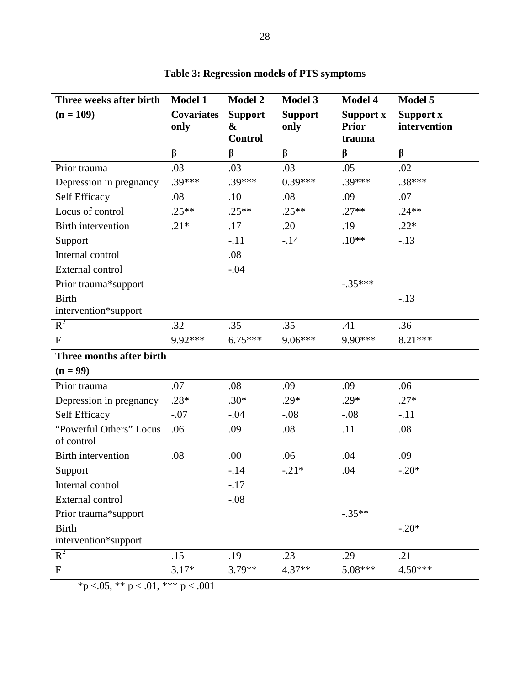<span id="page-28-0"></span>

| Three weeks after birth               | <b>Model 1</b>            | <b>Model 2</b>                                        | <b>Model 3</b>         | <b>Model 4</b>                      | Model 5                          |
|---------------------------------------|---------------------------|-------------------------------------------------------|------------------------|-------------------------------------|----------------------------------|
| $(n = 109)$                           | <b>Covariates</b><br>only | <b>Support</b><br>$\boldsymbol{\&}$<br><b>Control</b> | <b>Support</b><br>only | Support x<br><b>Prior</b><br>trauma | <b>Support x</b><br>intervention |
|                                       | $\beta$                   | β                                                     | $\beta$                | β                                   | β                                |
| Prior trauma                          | .03                       | .03                                                   | .03                    | .05                                 | .02                              |
| Depression in pregnancy               | .39***                    | $.39***$                                              | $0.39***$              | $.39***$                            | .38***                           |
| Self Efficacy                         | .08                       | .10                                                   | .08                    | .09                                 | .07                              |
| Locus of control                      | $.25**$                   | $.25**$                                               | $.25**$                | $.27**$                             | $.24**$                          |
| <b>Birth intervention</b>             | $.21*$                    | .17                                                   | .20                    | .19                                 | $.22*$                           |
| Support                               |                           | $-.11$                                                | $-.14$                 | $.10**$                             | $-.13$                           |
| Internal control                      |                           | .08                                                   |                        |                                     |                                  |
| External control                      |                           | $-.04$                                                |                        |                                     |                                  |
| Prior trauma*support                  |                           |                                                       |                        | $-.35***$                           |                                  |
| <b>Birth</b>                          |                           |                                                       |                        |                                     | $-.13$                           |
| intervention*support                  |                           |                                                       |                        |                                     |                                  |
| $R^2$                                 | .32                       | .35                                                   | .35                    | .41                                 | .36                              |
| ${\bf F}$                             | 9.92***                   | $6.75***$                                             | 9.06***                | 9.90***                             | 8.21 ***                         |
| Three months after birth              |                           |                                                       |                        |                                     |                                  |
| $(n = 99)$                            |                           |                                                       |                        |                                     |                                  |
| Prior trauma                          | .07                       | .08                                                   | .09                    | .09                                 | .06                              |
| Depression in pregnancy               | $.28*$                    | $.30*$                                                | $.29*$                 | $.29*$                              | $.27*$                           |
| Self Efficacy                         | $-.07$                    | $-.04$                                                | $-.08$                 | $-.08$                              | $-.11$                           |
| "Powerful Others" Locus<br>of control | .06                       | .09                                                   | .08                    | .11                                 | .08                              |
| <b>Birth intervention</b>             | .08                       | .00.                                                  | .06                    | .04                                 | .09                              |
| Support                               |                           | $-14$                                                 | $-.21*$                | .04                                 | $-.20*$                          |
| Internal control                      |                           | $-.17$                                                |                        |                                     |                                  |
| External control                      |                           | $-.08$                                                |                        |                                     |                                  |
| Prior trauma*support                  |                           |                                                       |                        | $-.35**$                            |                                  |
| <b>Birth</b><br>intervention*support  |                           |                                                       |                        |                                     | $-.20*$                          |
| $R^2$                                 | .15                       | .19                                                   | .23                    | .29                                 | .21                              |
| ${\bf F}$                             | $3.17*$                   | 3.79**                                                | 4.37**                 | 5.08***                             | $4.50***$                        |

**Table 3: Regression models of PTS symptoms** 

\*p <.05, \*\* p < .01, \*\*\* p < .001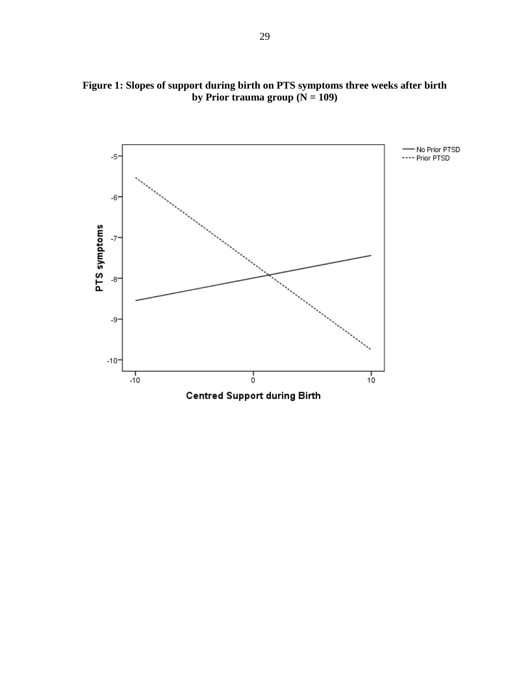

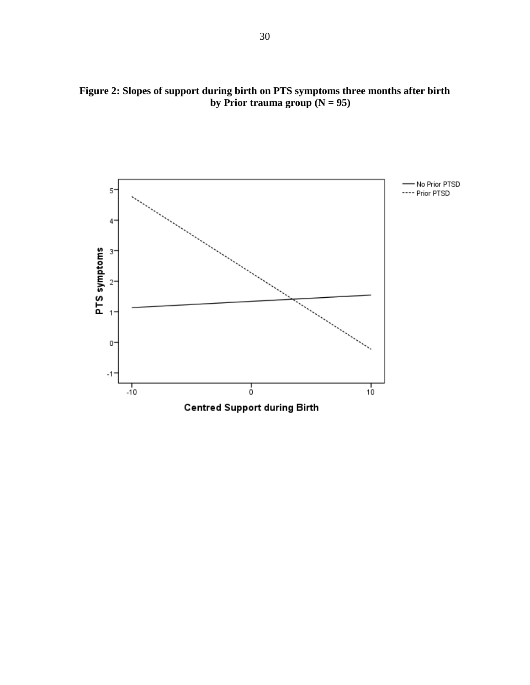